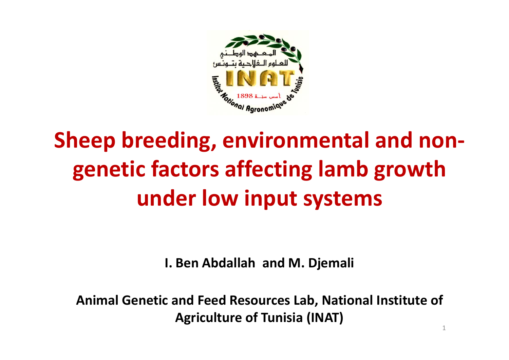

# **Sheep breeding, environmental and non‐ genetic factors affecting lamb growth under low input systems**

**I. Ben Abdallah and M. Djemali**

**Animal Genetic and Feed Resources Lab, National Institute of Agriculture of Tunisia (INAT)**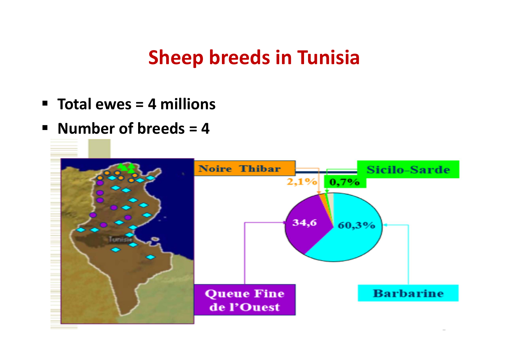#### **Sheep breeds in Tunisia**

- **Total ewes = 4 millions**
- **Number of breeds = 4**

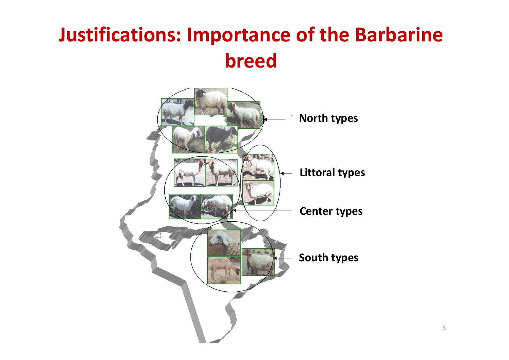### **Justifications: Importance of the Barbarine breed**

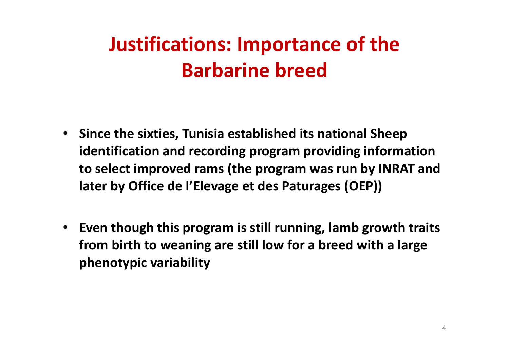# **Justifications: Importance of the Barbarine breed**

- **Since the sixties, Tunisia established its national Sheep identification and recording program providing information to select improved rams (the program was run by INRAT and later by Office de l'Elevage et des Paturages (OEP))**
- **Even though this program is still running, lamb growth traits from birth to weaning are still low for a breed with a large phenotypic variability**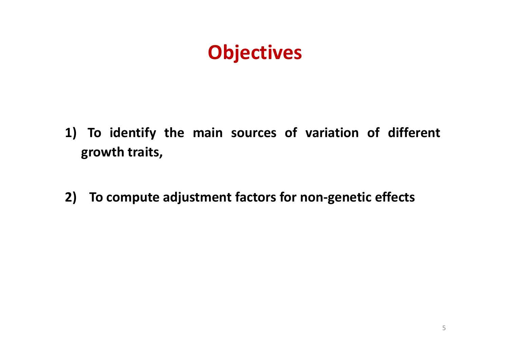### **Objectives**

- **1) To identify the main sources of variation of different growth traits,**
- **2) To compute adjustment factors for non‐genetic effects**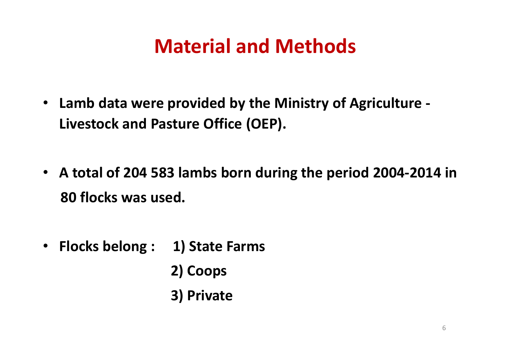### **Material and Methods**

- **Lamb data were provided by the Ministry of Agriculture ‐ Livestock and Pasture Office (OEP).**
- **A total of 204 583 lambs born during the period 2004‐2014 in 80 flocks was used.**
- $\bullet$  **Flocks belong : 1) State Farms**
	- **2) Coops**
	- **3) Private**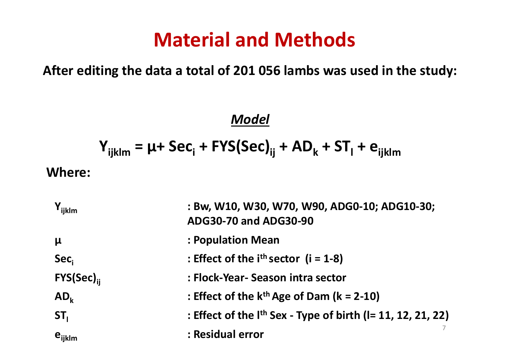#### **Material and Methods**

**After editing the data a total of 201 056 lambs was used in the study:**

#### *Model*

$$
Y_{ijklm} = \mu + Sec_i + FYS(Sec)_{ij} + AD_k + ST_i + e_{ijklm}
$$

#### **Where:**

| $Y_{ijklm}$                                         | : Bw, W10, W30, W70, W90, ADG0-10; ADG10-30;<br>ADG30-70 and ADG30-90 |
|-----------------------------------------------------|-----------------------------------------------------------------------|
| $\mu$                                               | : Population Mean                                                     |
| Sec <sub>i</sub>                                    | : Effect of the $ith sector$ (i = 1-8)                                |
| $\mathsf{FYS}(\mathsf{Sec})_{\mathsf{i}\mathsf{j}}$ | : Flock-Year- Season intra sector                                     |
| $AD_k$                                              | : Effect of the $kth$ Age of Dam ( $k = 2-10$ )                       |
| ST <sub>1</sub>                                     | : Effect of the $Ith$ Sex - Type of birth ( $I = 11, 12, 21, 22$ )    |
| $e_{ijklm}$                                         | : Residual error                                                      |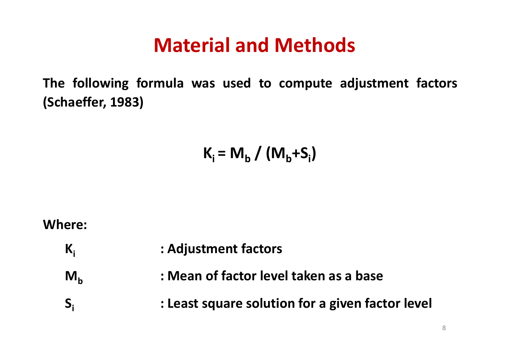#### **Material and Methods**

**The following formula was used to compute adjustment factors (Schaeffer, 1983)**

 $K_i = M_b / (M_b + S_i)$ 

#### **Where:**

- $K_i$ **: Adjustment factors**
- **M b: Mean of factor level taken as a base**
- **Si: Least square solution for a given factor level**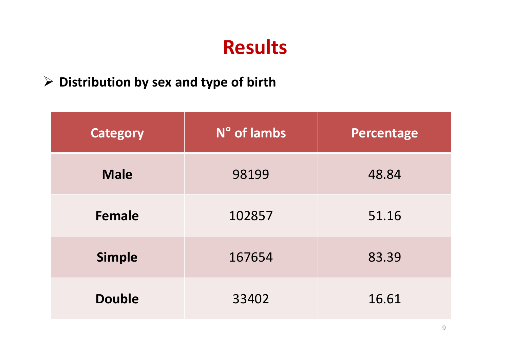#### **Distribution by sex and type of birth**

| <b>Category</b> | N° of lambs | <b>Percentage</b> |
|-----------------|-------------|-------------------|
| <b>Male</b>     | 98199       | 48.84             |
| <b>Female</b>   | 102857      | 51.16             |
| <b>Simple</b>   | 167654      | 83.39             |
| <b>Double</b>   | 33402       | 16.61             |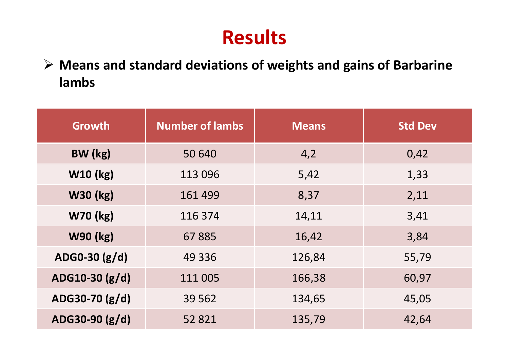**Means and standard deviations of weights and gains of Barbarine lambs**

| <b>Growth</b>   | <b>Number of lambs</b> | <b>Means</b> | <b>Std Dev</b> |  |
|-----------------|------------------------|--------------|----------------|--|
| BW (kg)         | 50 640                 | 4,2          | 0,42           |  |
| <b>W10 (kg)</b> | 113 096                | 5,42         | 1,33           |  |
| <b>W30 (kg)</b> | 161 499                | 8,37         | 2,11           |  |
| <b>W70 (kg)</b> | 116 374                | 14,11        | 3,41           |  |
| <b>W90 (kg)</b> | 67885                  | 16,42        | 3,84           |  |
| ADG0-30 $(g/d)$ | 49 336                 | 126,84       | 55,79          |  |
| ADG10-30 (g/d)  | 111 005                | 166,38       | 60,97          |  |
| ADG30-70 (g/d)  | 39 5 62                | 134,65       | 45,05          |  |
| ADG30-90 (g/d)  | 52 821                 | 135,79       | 42,64          |  |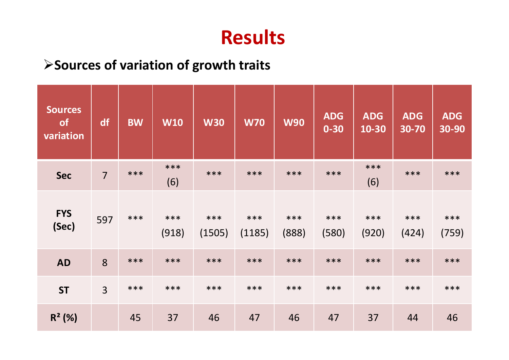#### **Sources of variation of growth traits**

| <b>Sources</b><br>of<br>variation | df             | <b>BW</b> | <b>W10</b>   | <b>W30</b>    | <b>W70</b>    | <b>W90</b>   | <b>ADG</b><br>$0 - 30$ | <b>ADG</b><br>10-30 | <b>ADG</b><br>30-70 | <b>ADG</b><br>30-90 |
|-----------------------------------|----------------|-----------|--------------|---------------|---------------|--------------|------------------------|---------------------|---------------------|---------------------|
| <b>Sec</b>                        | $\overline{7}$ | ***       | ***<br>(6)   | ***           | ***           | ***          | ***                    | ***<br>(6)          | ***                 | ***                 |
| <b>FYS</b><br>(Sec)               | 597            | ***       | ***<br>(918) | ***<br>(1505) | ***<br>(1185) | ***<br>(888) | ***<br>(580)           | ***<br>(920)        | ***<br>(424)        | ***<br>(759)        |
| <b>AD</b>                         | 8              | ***       | ***          | ***           | ***           | ***          | ***                    | ***                 | ***                 | ***                 |
| <b>ST</b>                         | $\overline{3}$ | ***       | ***          | ***           | ***           | ***          | ***                    | ***                 | ***                 | ***                 |
| $R^2$ (%)                         |                | 45        | 37           | 46            | 47            | 46           | 47                     | 37                  | 44                  | 46                  |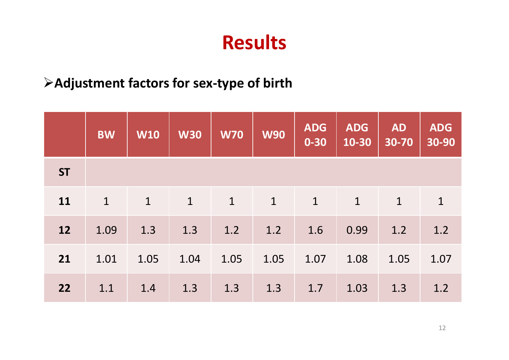#### **Adjustment factors for sex‐type of birth**

|           | <b>BW</b>    | <b>W10</b>   | <b>W30</b>   | <b>W70</b> | <b>W90</b>  | <b>ADG</b><br>$0 - 30$ | <b>ADG</b><br>10-30 | <b>AD</b><br>30-70 | <b>ADG</b><br>30-90 |
|-----------|--------------|--------------|--------------|------------|-------------|------------------------|---------------------|--------------------|---------------------|
| <b>ST</b> |              |              |              |            |             |                        |                     |                    |                     |
| 11        | $\mathbf{1}$ | $\mathbf{1}$ | $\mathbf{1}$ | $\sqrt{1}$ | $\mathbf 1$ | $\mathbf{1}$           | $\mathbf{1}$        | $\mathbf{1}$       | $\mathbf{1}$        |
| 12        | 1.09         | 1.3          | 1.3          | 1.2        | 1.2         | 1.6                    | 0.99                | 1.2                | 1.2                 |
| 21        | 1.01         | 1.05         | 1.04         | 1.05       | 1.05        | 1.07                   | 1.08                | 1.05               | 1.07                |
| 22        | 1.1          | 1.4          | 1.3          | 1.3        | 1.3         | 1.7                    | 1.03                | 1.3                | 1.2                 |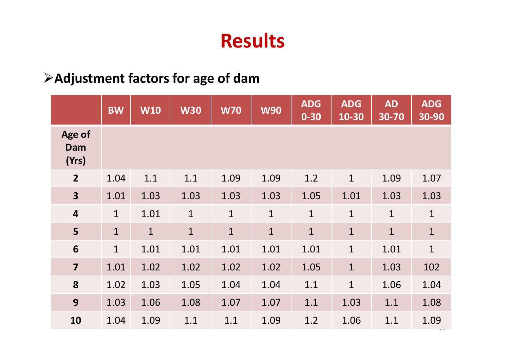#### **Adjustment factors for age of dam**

|                         | <b>BW</b>    | <b>W10</b>   | <b>W30</b>   | <b>W70</b>   | <b>W90</b>   | <b>ADG</b><br>$0 - 30$ | <b>ADG</b><br>10-30 | <b>AD</b><br>30-70 | <b>ADG</b><br>30-90 |
|-------------------------|--------------|--------------|--------------|--------------|--------------|------------------------|---------------------|--------------------|---------------------|
| Age of<br>Dam<br>(Yrs)  |              |              |              |              |              |                        |                     |                    |                     |
| $\overline{2}$          | 1.04         | 1.1          | 1.1          | 1.09         | 1.09         | 1.2                    | $\mathbf{1}$        | 1.09               | 1.07                |
| $\overline{\mathbf{3}}$ | 1.01         | 1.03         | 1.03         | 1.03         | 1.03         | 1.05                   | 1.01                | 1.03               | 1.03                |
| $\overline{\mathbf{4}}$ | $\mathbf{1}$ | 1.01         | $\mathbf{1}$ | $\mathbf{1}$ | $\mathbf{1}$ | $\mathbf{1}$           | $\mathbf{1}$        | $\mathbf{1}$       | $\mathbf{1}$        |
| 5                       | $\mathbf{1}$ | $\mathbf{1}$ | $\mathbf{1}$ | $\mathbf{1}$ | $\mathbf{1}$ | $\mathbf{1}$           | $\mathbf{1}$        | $\mathbf{1}$       | $\mathbf{1}$        |
| 6                       | $\mathbf{1}$ | 1.01         | 1.01         | 1.01         | 1.01         | 1.01                   | $\mathbf{1}$        | 1.01               | $\mathbf{1}$        |
| $\overline{\mathbf{z}}$ | 1.01         | 1.02         | 1.02         | 1.02         | 1.02         | 1.05                   | $\mathbf{1}$        | 1.03               | 102                 |
| 8                       | 1.02         | 1.03         | 1.05         | 1.04         | 1.04         | 1.1                    | $\mathbf{1}$        | 1.06               | 1.04                |
| 9                       | 1.03         | 1.06         | 1.08         | 1.07         | 1.07         | 1.1                    | 1.03                | 1.1                | 1.08                |
| 10                      | 1.04         | 1.09         | 1.1          | 1.1          | 1.09         | 1.2                    | 1.06                | 1.1                | 1.09                |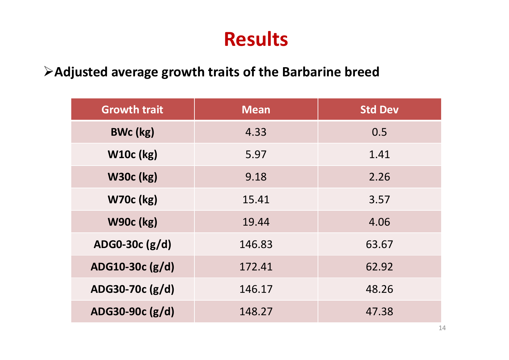#### **Adjusted average growth traits of the Barbarine breed**

| <b>Growth trait</b> | <b>Mean</b> | <b>Std Dev</b> |  |
|---------------------|-------------|----------------|--|
| <b>BWc (kg)</b>     | 4.33        | 0.5            |  |
| <b>W10c (kg)</b>    | 5.97        | 1.41           |  |
| <b>W30c (kg)</b>    | 9.18        | 2.26           |  |
| <b>W70c (kg)</b>    | 15.41       | 3.57           |  |
| <b>W90c (kg)</b>    | 19.44       | 4.06           |  |
| ADG0-30c (g/d)      | 146.83      | 63.67          |  |
| ADG10-30c (g/d)     | 172.41      | 62.92          |  |
| ADG30-70 $c$ (g/d)  | 146.17      | 48.26          |  |
| ADG30-90c (g/d)     | 148.27      | 47.38          |  |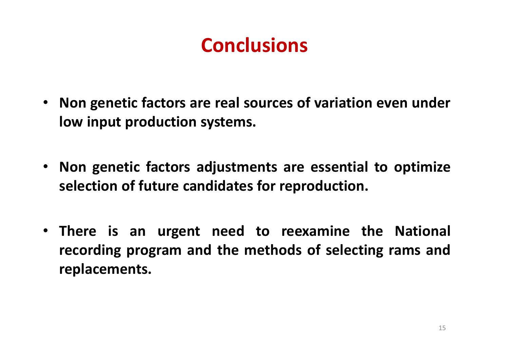### **Conclusions**

- $\bullet$  **Non genetic factors are real sources of variation even under low input production systems.**
- $\bullet$  **Non genetic factors adjustments are essential to optimize selection of future candidates for reproduction.**
- **There is an urgent need to reexamine the National recording program and the methods of selecting rams and replacements.**